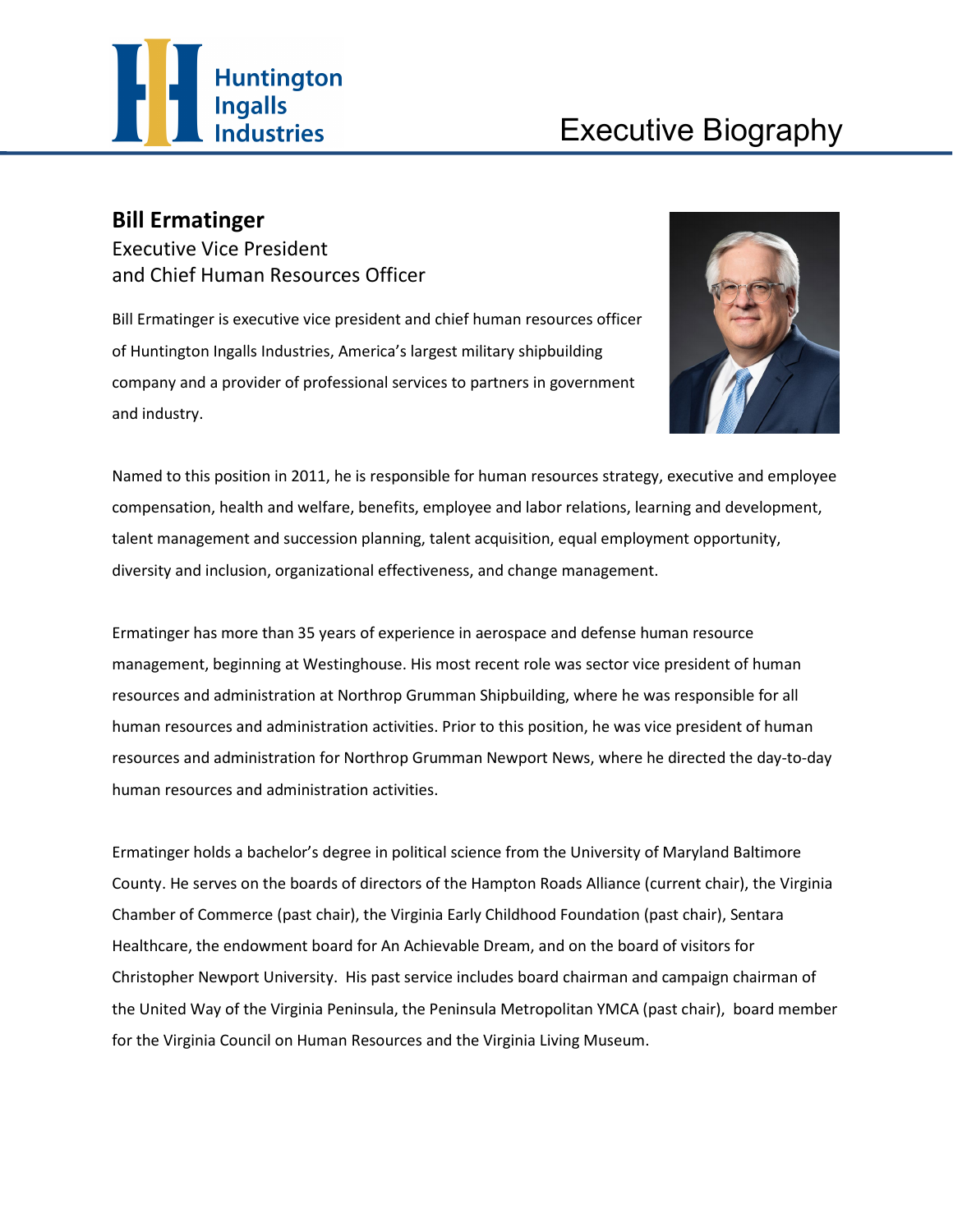

## **Bill Ermatinger**

Executive Vice President and Chief Human Resources Officer

Bill Ermatinger is executive vice president and chief human resources officer of Huntington Ingalls Industries, America's largest military shipbuilding company and a provider of professional services to partners in government and industry.



Named to this position in 2011, he is responsible for human resources strategy, executive and employee compensation, health and welfare, benefits, employee and labor relations, learning and development, talent management and succession planning, talent acquisition, equal employment opportunity, diversity and inclusion, organizational effectiveness, and change management.

Ermatinger has more than 35 years of experience in aerospace and defense human resource management, beginning at Westinghouse. His most recent role was sector vice president of human resources and administration at Northrop Grumman Shipbuilding, where he was responsible for all human resources and administration activities. Prior to this position, he was vice president of human resources and administration for Northrop Grumman Newport News, where he directed the day-to-day human resources and administration activities.

Ermatinger holds a bachelor's degree in political science from the University of Maryland Baltimore County. He serves on the boards of directors of the Hampton Roads Alliance (current chair), the Virginia Chamber of Commerce (past chair), the Virginia Early Childhood Foundation (past chair), Sentara Healthcare, the endowment board for An Achievable Dream, and on the board of visitors for Christopher Newport University. His past service includes board chairman and campaign chairman of the United Way of the Virginia Peninsula, the Peninsula Metropolitan YMCA (past chair), board member for the Virginia Council on Human Resources and the Virginia Living Museum.